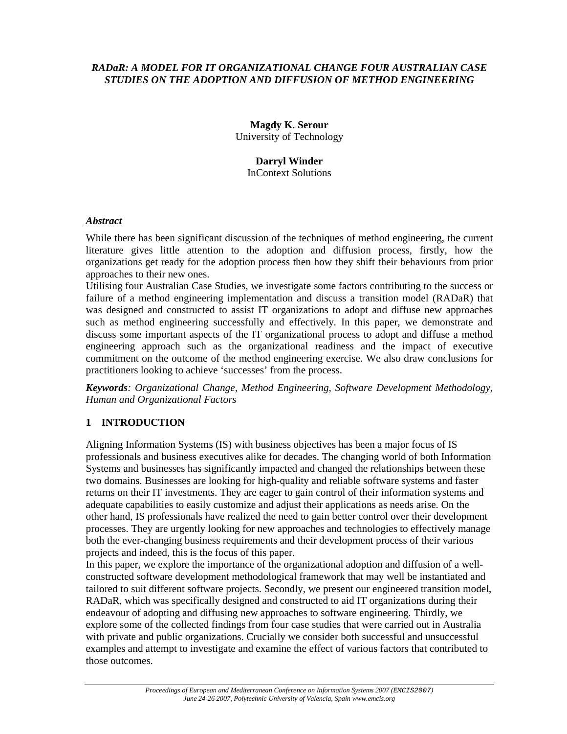#### *RADaR: A MODEL FOR IT ORGANIZATIONAL CHANGE FOUR AUSTRALIAN CASE STUDIES ON THE ADOPTION AND DIFFUSION OF METHOD ENGINEERING*

**Magdy K. Serour**  University of Technology

#### **Darryl Winder**  InContext Solutions

## *Abstract*

While there has been significant discussion of the techniques of method engineering, the current literature gives little attention to the adoption and diffusion process, firstly, how the organizations get ready for the adoption process then how they shift their behaviours from prior approaches to their new ones.

Utilising four Australian Case Studies, we investigate some factors contributing to the success or failure of a method engineering implementation and discuss a transition model (RADaR) that was designed and constructed to assist IT organizations to adopt and diffuse new approaches such as method engineering successfully and effectively. In this paper, we demonstrate and discuss some important aspects of the IT organizational process to adopt and diffuse a method engineering approach such as the organizational readiness and the impact of executive commitment on the outcome of the method engineering exercise. We also draw conclusions for practitioners looking to achieve 'successes' from the process.

*Keywords: Organizational Change, Method Engineering, Software Development Methodology, Human and Organizational Factors* 

# **1 INTRODUCTION**

Aligning Information Systems (IS) with business objectives has been a major focus of IS professionals and business executives alike for decades. The changing world of both Information Systems and businesses has significantly impacted and changed the relationships between these two domains. Businesses are looking for high-quality and reliable software systems and faster returns on their IT investments. They are eager to gain control of their information systems and adequate capabilities to easily customize and adjust their applications as needs arise. On the other hand, IS professionals have realized the need to gain better control over their development processes. They are urgently looking for new approaches and technologies to effectively manage both the ever-changing business requirements and their development process of their various projects and indeed, this is the focus of this paper.

In this paper, we explore the importance of the organizational adoption and diffusion of a wellconstructed software development methodological framework that may well be instantiated and tailored to suit different software projects. Secondly, we present our engineered transition model, RADaR, which was specifically designed and constructed to aid IT organizations during their endeavour of adopting and diffusing new approaches to software engineering. Thirdly, we explore some of the collected findings from four case studies that were carried out in Australia with private and public organizations. Crucially we consider both successful and unsuccessful examples and attempt to investigate and examine the effect of various factors that contributed to those outcomes.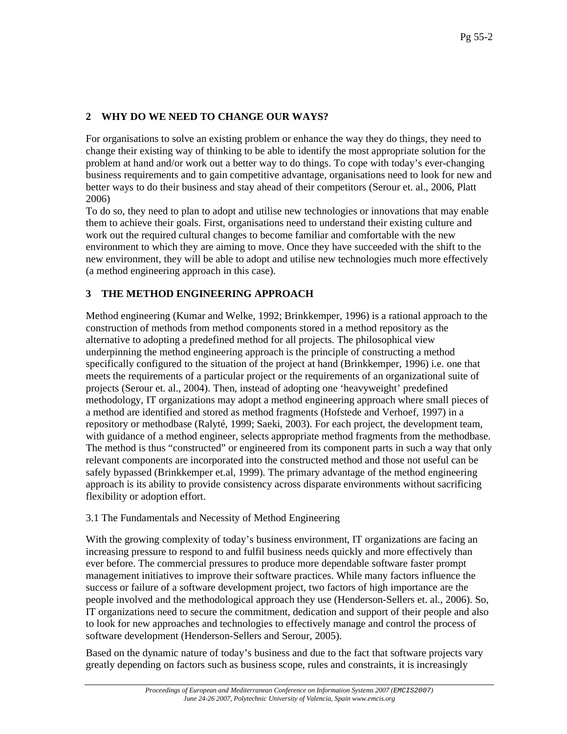# **2 WHY DO WE NEED TO CHANGE OUR WAYS?**

For organisations to solve an existing problem or enhance the way they do things, they need to change their existing way of thinking to be able to identify the most appropriate solution for the problem at hand and/or work out a better way to do things. To cope with today's ever-changing business requirements and to gain competitive advantage, organisations need to look for new and better ways to do their business and stay ahead of their competitors (Serour et. al., 2006, Platt 2006)

To do so, they need to plan to adopt and utilise new technologies or innovations that may enable them to achieve their goals. First, organisations need to understand their existing culture and work out the required cultural changes to become familiar and comfortable with the new environment to which they are aiming to move. Once they have succeeded with the shift to the new environment, they will be able to adopt and utilise new technologies much more effectively (a method engineering approach in this case).

## **3 THE METHOD ENGINEERING APPROACH**

Method engineering (Kumar and Welke, 1992; Brinkkemper, 1996) is a rational approach to the construction of methods from method components stored in a method repository as the alternative to adopting a predefined method for all projects. The philosophical view underpinning the method engineering approach is the principle of constructing a method specifically configured to the situation of the project at hand (Brinkkemper, 1996) i.e. one that meets the requirements of a particular project or the requirements of an organizational suite of projects (Serour et. al., 2004). Then, instead of adopting one 'heavyweight' predefined methodology, IT organizations may adopt a method engineering approach where small pieces of a method are identified and stored as method fragments (Hofstede and Verhoef, 1997) in a repository or methodbase (Ralyté, 1999; Saeki, 2003). For each project, the development team, with guidance of a method engineer, selects appropriate method fragments from the methodbase. The method is thus "constructed" or engineered from its component parts in such a way that only relevant components are incorporated into the constructed method and those not useful can be safely bypassed (Brinkkemper et.al, 1999). The primary advantage of the method engineering approach is its ability to provide consistency across disparate environments without sacrificing flexibility or adoption effort.

### 3.1 The Fundamentals and Necessity of Method Engineering

With the growing complexity of today's business environment, IT organizations are facing an increasing pressure to respond to and fulfil business needs quickly and more effectively than ever before. The commercial pressures to produce more dependable software faster prompt management initiatives to improve their software practices. While many factors influence the success or failure of a software development project, two factors of high importance are the people involved and the methodological approach they use (Henderson-Sellers et. al., 2006). So, IT organizations need to secure the commitment, dedication and support of their people and also to look for new approaches and technologies to effectively manage and control the process of software development (Henderson-Sellers and Serour, 2005).

Based on the dynamic nature of today's business and due to the fact that software projects vary greatly depending on factors such as business scope, rules and constraints, it is increasingly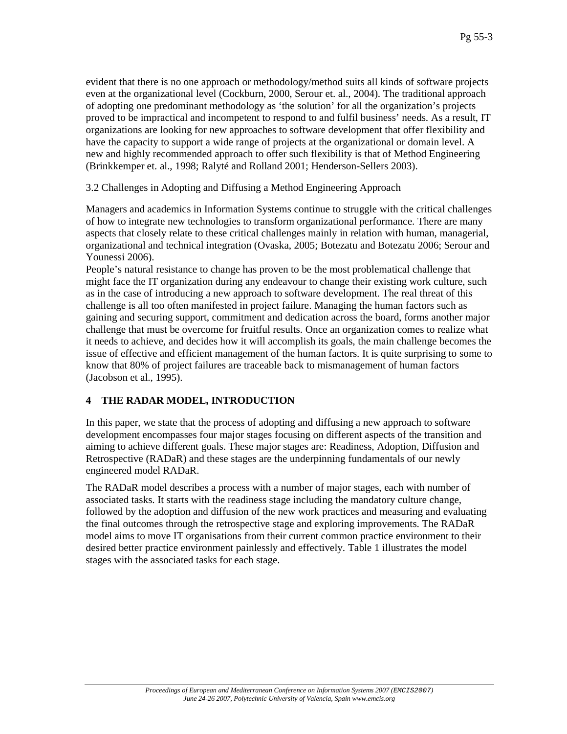evident that there is no one approach or methodology/method suits all kinds of software projects even at the organizational level (Cockburn, 2000, Serour et. al., 2004). The traditional approach of adopting one predominant methodology as 'the solution' for all the organization's projects proved to be impractical and incompetent to respond to and fulfil business' needs. As a result, IT organizations are looking for new approaches to software development that offer flexibility and have the capacity to support a wide range of projects at the organizational or domain level. A new and highly recommended approach to offer such flexibility is that of Method Engineering (Brinkkemper et. al., 1998; Ralyté and Rolland 2001; Henderson-Sellers 2003).

3.2 Challenges in Adopting and Diffusing a Method Engineering Approach

Managers and academics in Information Systems continue to struggle with the critical challenges of how to integrate new technologies to transform organizational performance. There are many aspects that closely relate to these critical challenges mainly in relation with human, managerial, organizational and technical integration (Ovaska, 2005; Botezatu and Botezatu 2006; Serour and Younessi 2006).

People's natural resistance to change has proven to be the most problematical challenge that might face the IT organization during any endeavour to change their existing work culture, such as in the case of introducing a new approach to software development. The real threat of this challenge is all too often manifested in project failure. Managing the human factors such as gaining and securing support, commitment and dedication across the board, forms another major challenge that must be overcome for fruitful results. Once an organization comes to realize what it needs to achieve, and decides how it will accomplish its goals, the main challenge becomes the issue of effective and efficient management of the human factors. It is quite surprising to some to know that 80% of project failures are traceable back to mismanagement of human factors (Jacobson et al., 1995).

# **4 THE RADAR MODEL, INTRODUCTION**

In this paper, we state that the process of adopting and diffusing a new approach to software development encompasses four major stages focusing on different aspects of the transition and aiming to achieve different goals. These major stages are: Readiness, Adoption, Diffusion and Retrospective (RADaR) and these stages are the underpinning fundamentals of our newly engineered model RADaR.

The RADaR model describes a process with a number of major stages, each with number of associated tasks. It starts with the readiness stage including the mandatory culture change, followed by the adoption and diffusion of the new work practices and measuring and evaluating the final outcomes through the retrospective stage and exploring improvements. The RADaR model aims to move IT organisations from their current common practice environment to their desired better practice environment painlessly and effectively. Table 1 illustrates the model stages with the associated tasks for each stage.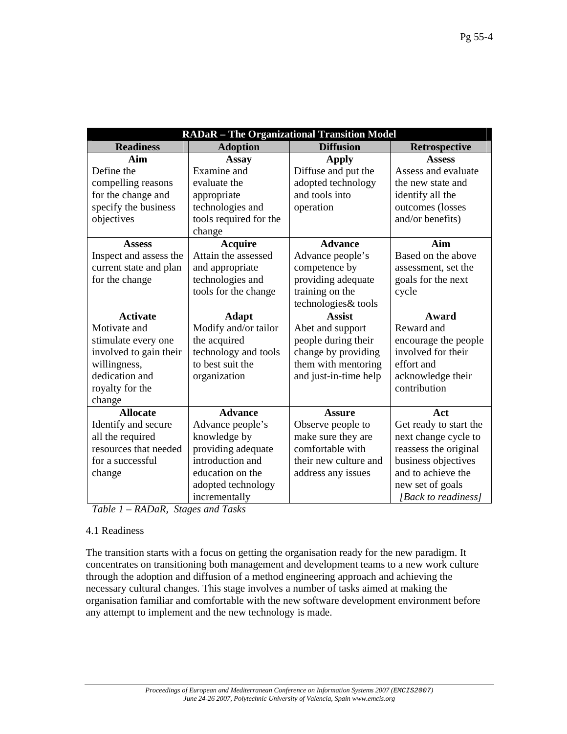| <b>RADaR</b> - The Organizational Transition Model |                        |                       |                        |
|----------------------------------------------------|------------------------|-----------------------|------------------------|
| <b>Readiness</b>                                   | <b>Adoption</b>        | <b>Diffusion</b>      | Retrospective          |
| Aim                                                | Assay                  | <b>Apply</b>          | <b>Assess</b>          |
| Define the                                         | Examine and            | Diffuse and put the   | Assess and evaluate    |
| compelling reasons                                 | evaluate the           | adopted technology    | the new state and      |
| for the change and                                 | appropriate            | and tools into        | identify all the       |
| specify the business                               | technologies and       | operation             | outcomes (losses       |
| objectives                                         | tools required for the |                       | and/or benefits)       |
|                                                    | change                 |                       |                        |
| <b>Assess</b>                                      | <b>Acquire</b>         | <b>Advance</b>        | Aim                    |
| Inspect and assess the                             | Attain the assessed    | Advance people's      | Based on the above     |
| current state and plan                             | and appropriate        | competence by         | assessment, set the    |
| for the change                                     | technologies and       | providing adequate    | goals for the next     |
|                                                    | tools for the change   | training on the       | cycle                  |
|                                                    |                        | technologies& tools   |                        |
| <b>Activate</b>                                    | <b>Adapt</b>           | <b>Assist</b>         | Award                  |
| Motivate and                                       | Modify and/or tailor   | Abet and support      | Reward and             |
| stimulate every one                                | the acquired           | people during their   | encourage the people   |
| involved to gain their                             | technology and tools   | change by providing   | involved for their     |
| willingness,                                       | to best suit the       | them with mentoring   | effort and             |
| dedication and                                     | organization           | and just-in-time help | acknowledge their      |
| royalty for the                                    |                        |                       | contribution           |
| change                                             |                        |                       |                        |
| <b>Allocate</b>                                    | <b>Advance</b>         | <b>Assure</b>         | Act                    |
| Identify and secure                                | Advance people's       | Observe people to     | Get ready to start the |
| all the required                                   | knowledge by           | make sure they are    | next change cycle to   |
| resources that needed                              | providing adequate     | comfortable with      | reassess the original  |
| for a successful                                   | introduction and       | their new culture and | business objectives    |
| change                                             | education on the       | address any issues    | and to achieve the     |
|                                                    | adopted technology     |                       | new set of goals       |
|                                                    | incrementally          |                       | [Back to readiness]    |

*Table 1 – RADaR, Stages and Tasks* 

### 4.1 Readiness

The transition starts with a focus on getting the organisation ready for the new paradigm. It concentrates on transitioning both management and development teams to a new work culture through the adoption and diffusion of a method engineering approach and achieving the necessary cultural changes. This stage involves a number of tasks aimed at making the organisation familiar and comfortable with the new software development environment before any attempt to implement and the new technology is made.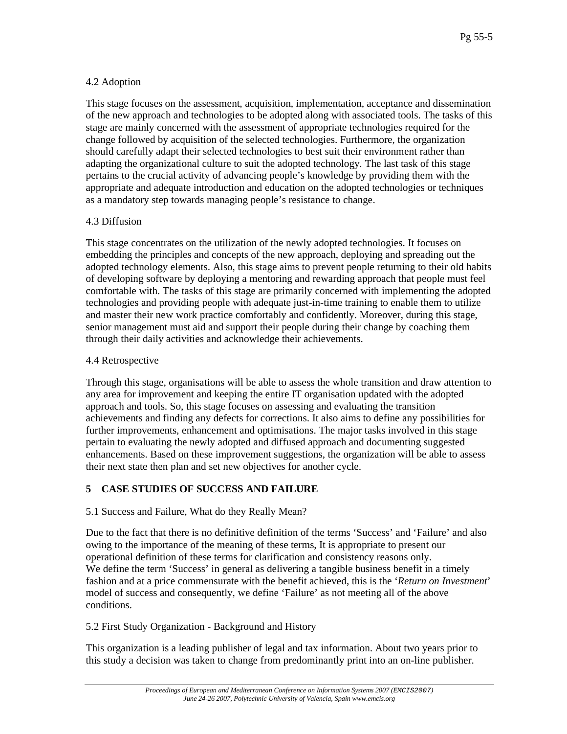## 4.2 Adoption

This stage focuses on the assessment, acquisition, implementation, acceptance and dissemination of the new approach and technologies to be adopted along with associated tools. The tasks of this stage are mainly concerned with the assessment of appropriate technologies required for the change followed by acquisition of the selected technologies. Furthermore, the organization should carefully adapt their selected technologies to best suit their environment rather than adapting the organizational culture to suit the adopted technology. The last task of this stage pertains to the crucial activity of advancing people's knowledge by providing them with the appropriate and adequate introduction and education on the adopted technologies or techniques as a mandatory step towards managing people's resistance to change.

### 4.3 Diffusion

This stage concentrates on the utilization of the newly adopted technologies. It focuses on embedding the principles and concepts of the new approach, deploying and spreading out the adopted technology elements. Also, this stage aims to prevent people returning to their old habits of developing software by deploying a mentoring and rewarding approach that people must feel comfortable with. The tasks of this stage are primarily concerned with implementing the adopted technologies and providing people with adequate just-in-time training to enable them to utilize and master their new work practice comfortably and confidently. Moreover, during this stage, senior management must aid and support their people during their change by coaching them through their daily activities and acknowledge their achievements.

## 4.4 Retrospective

Through this stage, organisations will be able to assess the whole transition and draw attention to any area for improvement and keeping the entire IT organisation updated with the adopted approach and tools. So, this stage focuses on assessing and evaluating the transition achievements and finding any defects for corrections. It also aims to define any possibilities for further improvements, enhancement and optimisations. The major tasks involved in this stage pertain to evaluating the newly adopted and diffused approach and documenting suggested enhancements. Based on these improvement suggestions, the organization will be able to assess their next state then plan and set new objectives for another cycle.

# **5 CASE STUDIES OF SUCCESS AND FAILURE**

# 5.1 Success and Failure, What do they Really Mean?

Due to the fact that there is no definitive definition of the terms 'Success' and 'Failure' and also owing to the importance of the meaning of these terms, It is appropriate to present our operational definition of these terms for clarification and consistency reasons only. We define the term 'Success' in general as delivering a tangible business benefit in a timely fashion and at a price commensurate with the benefit achieved, this is the '*Return on Investment*' model of success and consequently, we define 'Failure' as not meeting all of the above conditions.

# 5.2 First Study Organization - Background and History

This organization is a leading publisher of legal and tax information. About two years prior to this study a decision was taken to change from predominantly print into an on-line publisher.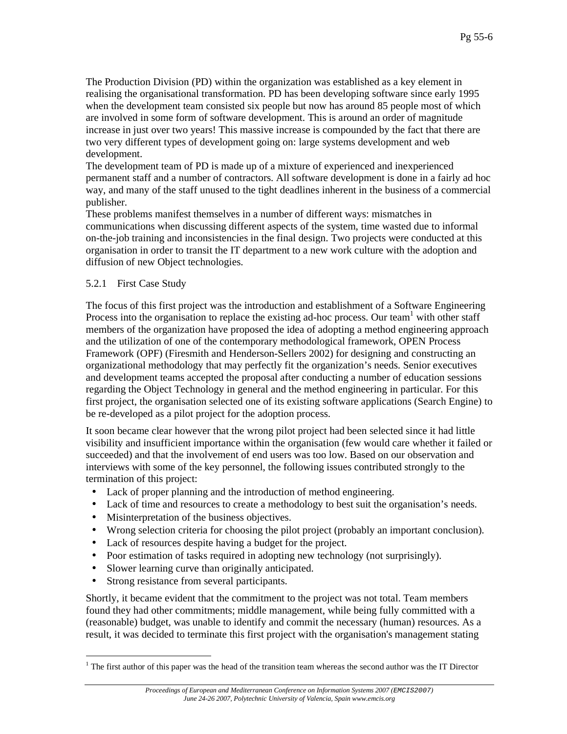The Production Division (PD) within the organization was established as a key element in realising the organisational transformation. PD has been developing software since early 1995 when the development team consisted six people but now has around 85 people most of which are involved in some form of software development. This is around an order of magnitude increase in just over two years! This massive increase is compounded by the fact that there are two very different types of development going on: large systems development and web development.

The development team of PD is made up of a mixture of experienced and inexperienced permanent staff and a number of contractors. All software development is done in a fairly ad hoc way, and many of the staff unused to the tight deadlines inherent in the business of a commercial publisher.

These problems manifest themselves in a number of different ways: mismatches in communications when discussing different aspects of the system, time wasted due to informal on-the-job training and inconsistencies in the final design. Two projects were conducted at this organisation in order to transit the IT department to a new work culture with the adoption and diffusion of new Object technologies.

#### 5.2.1 First Case Study

The focus of this first project was the introduction and establishment of a Software Engineering Process into the organisation to replace the existing ad-hoc process. Our team<sup>1</sup> with other staff members of the organization have proposed the idea of adopting a method engineering approach and the utilization of one of the contemporary methodological framework, OPEN Process Framework (OPF) (Firesmith and Henderson-Sellers 2002) for designing and constructing an organizational methodology that may perfectly fit the organization's needs. Senior executives and development teams accepted the proposal after conducting a number of education sessions regarding the Object Technology in general and the method engineering in particular. For this first project, the organisation selected one of its existing software applications (Search Engine) to be re-developed as a pilot project for the adoption process.

It soon became clear however that the wrong pilot project had been selected since it had little visibility and insufficient importance within the organisation (few would care whether it failed or succeeded) and that the involvement of end users was too low. Based on our observation and interviews with some of the key personnel, the following issues contributed strongly to the termination of this project:

- Lack of proper planning and the introduction of method engineering.
- Lack of time and resources to create a methodology to best suit the organisation's needs.
- Misinterpretation of the business objectives.
- Wrong selection criteria for choosing the pilot project (probably an important conclusion).
- Lack of resources despite having a budget for the project.
- Poor estimation of tasks required in adopting new technology (not surprisingly).
- Slower learning curve than originally anticipated.
- Strong resistance from several participants.

 $\overline{a}$ 

Shortly, it became evident that the commitment to the project was not total. Team members found they had other commitments; middle management, while being fully committed with a (reasonable) budget, was unable to identify and commit the necessary (human) resources. As a result, it was decided to terminate this first project with the organisation's management stating

 $1$ <sup>1</sup> The first author of this paper was the head of the transition team whereas the second author was the IT Director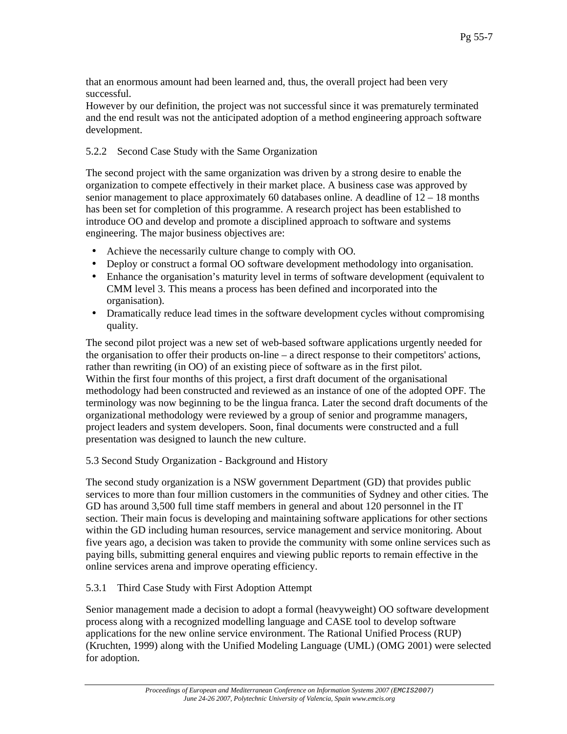that an enormous amount had been learned and, thus, the overall project had been very successful.

However by our definition, the project was not successful since it was prematurely terminated and the end result was not the anticipated adoption of a method engineering approach software development.

### 5.2.2 Second Case Study with the Same Organization

The second project with the same organization was driven by a strong desire to enable the organization to compete effectively in their market place. A business case was approved by senior management to place approximately 60 databases online. A deadline of  $12 - 18$  months has been set for completion of this programme. A research project has been established to introduce OO and develop and promote a disciplined approach to software and systems engineering. The major business objectives are:

- Achieve the necessarily culture change to comply with OO.
- Deploy or construct a formal OO software development methodology into organisation.
- Enhance the organisation's maturity level in terms of software development (equivalent to CMM level 3. This means a process has been defined and incorporated into the organisation).
- Dramatically reduce lead times in the software development cycles without compromising quality.

The second pilot project was a new set of web-based software applications urgently needed for the organisation to offer their products on-line – a direct response to their competitors' actions, rather than rewriting (in OO) of an existing piece of software as in the first pilot. Within the first four months of this project, a first draft document of the organisational methodology had been constructed and reviewed as an instance of one of the adopted OPF. The terminology was now beginning to be the lingua franca. Later the second draft documents of the organizational methodology were reviewed by a group of senior and programme managers, project leaders and system developers. Soon, final documents were constructed and a full presentation was designed to launch the new culture.

### 5.3 Second Study Organization - Background and History

The second study organization is a NSW government Department (GD) that provides public services to more than four million customers in the communities of Sydney and other cities. The GD has around 3,500 full time staff members in general and about 120 personnel in the IT section. Their main focus is developing and maintaining software applications for other sections within the GD including human resources, service management and service monitoring. About five years ago, a decision was taken to provide the community with some online services such as paying bills, submitting general enquires and viewing public reports to remain effective in the online services arena and improve operating efficiency.

### 5.3.1 Third Case Study with First Adoption Attempt

Senior management made a decision to adopt a formal (heavyweight) OO software development process along with a recognized modelling language and CASE tool to develop software applications for the new online service environment. The Rational Unified Process (RUP) (Kruchten, 1999) along with the Unified Modeling Language (UML) (OMG 2001) were selected for adoption.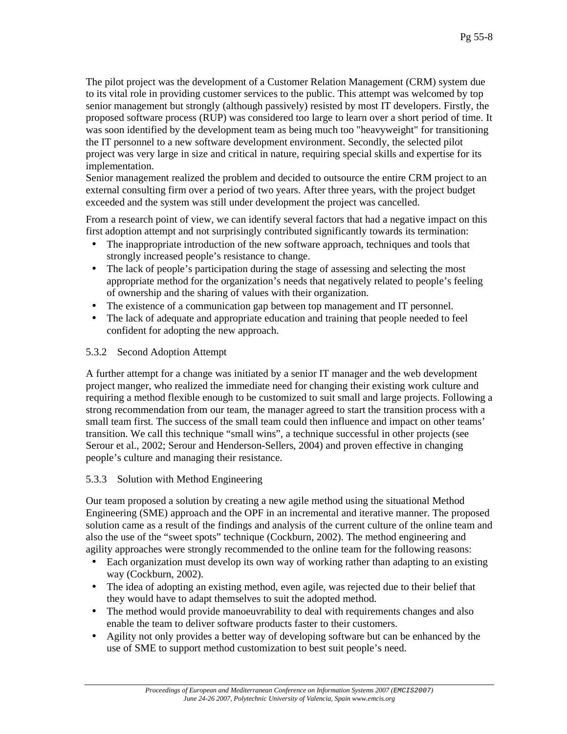The pilot project was the development of a Customer Relation Management (CRM) system due to its vital role in providing customer services to the public. This attempt was welcomed by top senior management but strongly (although passively) resisted by most IT developers. Firstly, the proposed software process (RUP) was considered too large to learn over a short period of time. It was soon identified by the development team as being much too "heavyweight" for transitioning the IT personnel to a new software development environment. Secondly, the selected pilot project was very large in size and critical in nature, requiring special skills and expertise for its implementation.

Senior management realized the problem and decided to outsource the entire CRM project to an external consulting firm over a period of two years. After three years, with the project budget exceeded and the system was still under development the project was cancelled.

From a research point of view, we can identify several factors that had a negative impact on this first adoption attempt and not surprisingly contributed significantly towards its termination:

- The inappropriate introduction of the new software approach, techniques and tools that strongly increased people's resistance to change.
- The lack of people's participation during the stage of assessing and selecting the most appropriate method for the organization's needs that negatively related to people's feeling of ownership and the sharing of values with their organization.
- The existence of a communication gap between top management and IT personnel.
- The lack of adequate and appropriate education and training that people needed to feel confident for adopting the new approach.

## 5.3.2 Second Adoption Attempt

A further attempt for a change was initiated by a senior IT manager and the web development project manger, who realized the immediate need for changing their existing work culture and requiring a method flexible enough to be customized to suit small and large projects. Following a strong recommendation from our team, the manager agreed to start the transition process with a small team first. The success of the small team could then influence and impact on other teams' transition. We call this technique "small wins", a technique successful in other projects (see Serour et al., 2002; Serour and Henderson-Sellers, 2004) and proven effective in changing people's culture and managing their resistance.

### 5.3.3 Solution with Method Engineering

Our team proposed a solution by creating a new agile method using the situational Method Engineering (SME) approach and the OPF in an incremental and iterative manner. The proposed solution came as a result of the findings and analysis of the current culture of the online team and also the use of the "sweet spots" technique (Cockburn, 2002). The method engineering and agility approaches were strongly recommended to the online team for the following reasons:

- Each organization must develop its own way of working rather than adapting to an existing way (Cockburn, 2002).
- The idea of adopting an existing method, even agile, was rejected due to their belief that they would have to adapt themselves to suit the adopted method.
- The method would provide manoeuvrability to deal with requirements changes and also enable the team to deliver software products faster to their customers.
- Agility not only provides a better way of developing software but can be enhanced by the use of SME to support method customization to best suit people's need.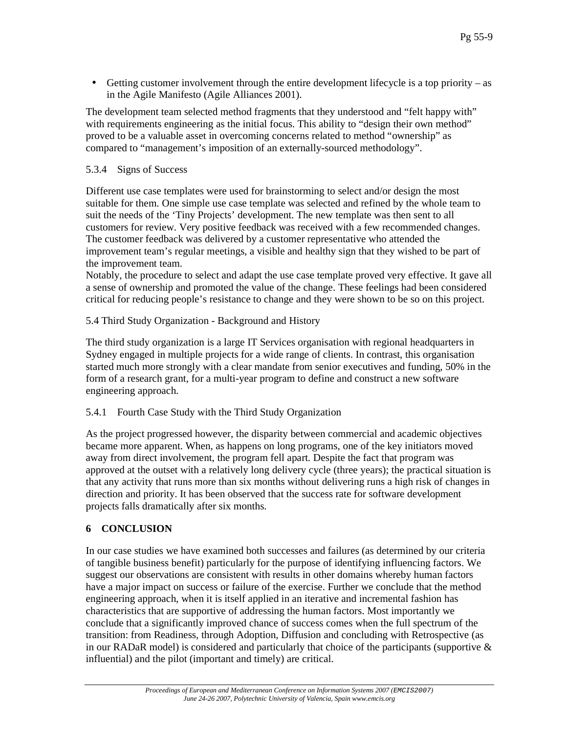• Getting customer involvement through the entire development lifecycle is a top priority – as in the Agile Manifesto (Agile Alliances 2001).

The development team selected method fragments that they understood and "felt happy with" with requirements engineering as the initial focus. This ability to "design their own method" proved to be a valuable asset in overcoming concerns related to method "ownership" as compared to "management's imposition of an externally-sourced methodology".

#### 5.3.4 Signs of Success

Different use case templates were used for brainstorming to select and/or design the most suitable for them. One simple use case template was selected and refined by the whole team to suit the needs of the 'Tiny Projects' development. The new template was then sent to all customers for review. Very positive feedback was received with a few recommended changes. The customer feedback was delivered by a customer representative who attended the improvement team's regular meetings, a visible and healthy sign that they wished to be part of the improvement team.

Notably, the procedure to select and adapt the use case template proved very effective. It gave all a sense of ownership and promoted the value of the change. These feelings had been considered critical for reducing people's resistance to change and they were shown to be so on this project.

5.4 Third Study Organization - Background and History

The third study organization is a large IT Services organisation with regional headquarters in Sydney engaged in multiple projects for a wide range of clients. In contrast, this organisation started much more strongly with a clear mandate from senior executives and funding, 50% in the form of a research grant, for a multi-year program to define and construct a new software engineering approach.

5.4.1 Fourth Case Study with the Third Study Organization

As the project progressed however, the disparity between commercial and academic objectives became more apparent. When, as happens on long programs, one of the key initiators moved away from direct involvement, the program fell apart. Despite the fact that program was approved at the outset with a relatively long delivery cycle (three years); the practical situation is that any activity that runs more than six months without delivering runs a high risk of changes in direction and priority. It has been observed that the success rate for software development projects falls dramatically after six months.

### **6 CONCLUSION**

In our case studies we have examined both successes and failures (as determined by our criteria of tangible business benefit) particularly for the purpose of identifying influencing factors. We suggest our observations are consistent with results in other domains whereby human factors have a major impact on success or failure of the exercise. Further we conclude that the method engineering approach, when it is itself applied in an iterative and incremental fashion has characteristics that are supportive of addressing the human factors. Most importantly we conclude that a significantly improved chance of success comes when the full spectrum of the transition: from Readiness, through Adoption, Diffusion and concluding with Retrospective (as in our RADaR model) is considered and particularly that choice of the participants (supportive  $\&$ influential) and the pilot (important and timely) are critical.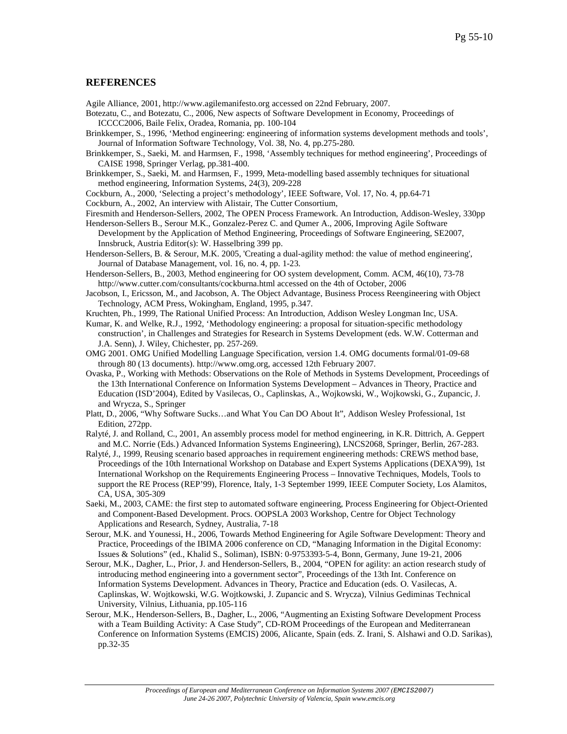#### **REFERENCES**

Agile Alliance, 2001, http://www.agilemanifesto.org accessed on 22nd February, 2007.

- Botezatu, C., and Botezatu, C., 2006, New aspects of Software Development in Economy, Proceedings of ICCCC2006, Baile Felix, Oradea, Romania, pp. 100-104
- Brinkkemper, S., 1996, 'Method engineering: engineering of information systems development methods and tools', Journal of Information Software Technology, Vol. 38, No. 4, pp.275-280.
- Brinkkemper, S., Saeki, M. and Harmsen, F., 1998, 'Assembly techniques for method engineering', Proceedings of CAISE 1998, Springer Verlag, pp.381-400.
- Brinkkemper, S., Saeki, M. and Harmsen, F., 1999, Meta-modelling based assembly techniques for situational method engineering, Information Systems, 24(3), 209-228
- Cockburn, A., 2000, 'Selecting a project's methodology', IEEE Software, Vol. 17, No. 4, pp.64-71
- Cockburn, A., 2002, An interview with Alistair, The Cutter Consortium,
- Firesmith and Henderson-Sellers, 2002, The OPEN Process Framework. An Introduction, Addison-Wesley, 330pp
- Henderson-Sellers B., Serour M.K., Gonzalez-Perez C. and Qumer A., 2006, Improving Agile Software Development by the Application of Method Engineering, Proceedings of Software Engineering, SE2007, Innsbruck, Austria Editor(s): W. Hasselbring 399 pp.
- Henderson-Sellers, B. & Serour, M.K. 2005, 'Creating a dual-agility method: the value of method engineering', Journal of Database Management, vol. 16, no. 4, pp. 1-23.
- Henderson-Sellers, B., 2003, Method engineering for OO system development, Comm. ACM, 46(10), 73-78 http://www.cutter.com/consultants/cockburna.html accessed on the 4th of October, 2006
- Jacobson, I., Ericsson, M., and Jacobson, A. The Object Advantage, Business Process Reengineering with Object Technology, ACM Press, Wokingham, England, 1995, p.347.
- Kruchten, Ph., 1999, The Rational Unified Process: An Introduction, Addison Wesley Longman Inc, USA.
- Kumar, K. and Welke, R.J., 1992, 'Methodology engineering: a proposal for situation-specific methodology construction', in Challenges and Strategies for Research in Systems Development (eds. W.W. Cotterman and J.A. Senn), J. Wiley, Chichester, pp. 257-269.
- OMG 2001. OMG Unified Modelling Language Specification, version 1.4. OMG documents formal/01-09-68 through 80 (13 documents). http://www.omg.org, accessed 12th February 2007.
- Ovaska, P., Working with Methods: Observations on the Role of Methods in Systems Development, Proceedings of the 13th International Conference on Information Systems Development – Advances in Theory, Practice and Education (ISD'2004), Edited by Vasilecas, O., Caplinskas, A., Wojkowski, W., Wojkowski, G., Zupancic, J. and Wrycza, S., Springer
- Platt, D., 2006, "Why Software Sucks…and What You Can DO About It", Addison Wesley Professional, 1st Edition, 272pp.
- Ralyté, J. and Rolland, C., 2001, An assembly process model for method engineering, in K.R. Dittrich, A. Geppert and M.C. Norrie (Eds.) Advanced Information Systems Engineering), LNCS2068, Springer, Berlin, 267-283.
- Ralyté, J., 1999, Reusing scenario based approaches in requirement engineering methods: CREWS method base, Proceedings of the 10th International Workshop on Database and Expert Systems Applications (DEXA'99), 1st International Workshop on the Requirements Engineering Process – Innovative Techniques, Models, Tools to support the RE Process (REP'99), Florence, Italy, 1-3 September 1999, IEEE Computer Society, Los Alamitos, CA, USA, 305-309
- Saeki, M., 2003, CAME: the first step to automated software engineering, Process Engineering for Object-Oriented and Component-Based Development. Procs. OOPSLA 2003 Workshop, Centre for Object Technology Applications and Research, Sydney, Australia, 7-18
- Serour, M.K. and Younessi, H., 2006, Towards Method Engineering for Agile Software Development: Theory and Practice, Proceedings of the IBIMA 2006 conference on CD, "Managing Information in the Digital Economy: Issues & Solutions" (ed., Khalid S., Soliman), ISBN: 0-9753393-5-4, Bonn, Germany, June 19-21, 2006
- Serour, M.K., Dagher, L., Prior, J. and Henderson-Sellers, B., 2004, "OPEN for agility: an action research study of introducing method engineering into a government sector", Proceedings of the 13th Int. Conference on Information Systems Development. Advances in Theory, Practice and Education (eds. O. Vasilecas, A. Caplinskas, W. Wojtkowski, W.G. Wojtkowski, J. Zupancic and S. Wrycza), Vilnius Gediminas Technical University, Vilnius, Lithuania, pp.105-116
- Serour, M.K., Henderson-Sellers, B., Dagher, L., 2006, "Augmenting an Existing Software Development Process with a Team Building Activity: A Case Study", CD-ROM Proceedings of the European and Mediterranean Conference on Information Systems (EMCIS) 2006, Alicante, Spain (eds. Z. Irani, S. Alshawi and O.D. Sarikas), pp.32-35